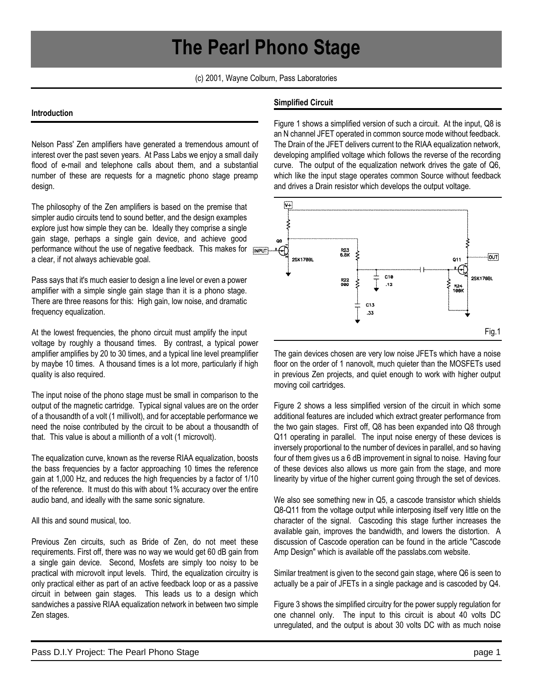# **The Pearl Phono Stage**

(c) 2001, Wayne Colburn, Pass Laboratories

#### **Introduction**

Nelson Pass' Zen amplifiers have generated a tremendous amount of interest over the past seven years. At Pass Labs we enjoy a small daily flood of e-mail and telephone calls about them, and a substantial number of these are requests for a magnetic phono stage preamp design.

The philosophy of the Zen amplifiers is based on the premise that simpler audio circuits tend to sound better, and the design examples explore just how simple they can be. Ideally they comprise a single gain stage, perhaps a single gain device, and achieve good performance without the use of negative feedback. This makes for supers a clear, if not always achievable goal.

Pass says that it's much easier to design a line level or even a power amplifier with a simple single gain stage than it is a phono stage. There are three reasons for this: High gain, low noise, and dramatic frequency equalization.

At the lowest frequencies, the phono circuit must amplify the input voltage by roughly a thousand times. By contrast, a typical power amplifier amplifies by 20 to 30 times, and a typical line level preamplifier by maybe 10 times. A thousand times is a lot more, particularly if high quality is also required.

The input noise of the phono stage must be small in comparison to the output of the magnetic cartridge. Typical signal values are on the order of a thousandth of a volt (1 millivolt), and for acceptable performance we need the noise contributed by the circuit to be about a thousandth of that. This value is about a millionth of a volt (1 microvolt).

The equalization curve, known as the reverse RIAA equalization, boosts the bass frequencies by a factor approaching 10 times the reference gain at 1,000 Hz, and reduces the high frequencies by a factor of 1/10 of the reference. It must do this with about 1% accuracy over the entire audio band, and ideally with the same sonic signature.

All this and sound musical, too.

Previous Zen circuits, such as Bride of Zen, do not meet these requirements. First off, there was no way we would get 60 dB gain from a single gain device. Second, Mosfets are simply too noisy to be practical with microvolt input levels. Third, the equalization circuitry is only practical either as part of an active feedback loop or as a passive circuit in between gain stages. This leads us to a design which sandwiches a passive RIAA equalization network in between two simple Zen stages.

## **Simplified Circuit**

Figure 1 shows a simplified version of such a circuit. At the input, Q8 is an N channel JFET operated in common source mode without feedback. The Drain of the JFET delivers current to the RIAA equalization network, developing amplified voltage which follows the reverse of the recording curve. The output of the equalization network drives the gate of Q6, which like the input stage operates common Source without feedback and drives a Drain resistor which develops the output voltage.



The gain devices chosen are very low noise JFETs which have a noise floor on the order of 1 nanovolt, much quieter than the MOSFETs used in previous Zen projects, and quiet enough to work with higher output moving coil cartridges.

Figure 2 shows a less simplified version of the circuit in which some additional features are included which extract greater performance from the two gain stages. First off, Q8 has been expanded into Q8 through Q11 operating in parallel. The input noise energy of these devices is inversely proportional to the number of devices in parallel, and so having four of them gives us a 6 dB improvement in signal to noise. Having four of these devices also allows us more gain from the stage, and more linearity by virtue of the higher current going through the set of devices.

We also see something new in Q5, a cascode transistor which shields Q8-Q11 from the voltage output while interposing itself very little on the character of the signal. Cascoding this stage further increases the available gain, improves the bandwidth, and lowers the distortion. A discussion of Cascode operation can be found in the article "Cascode Amp Design" which is available off the passlabs.com website.

Similar treatment is given to the second gain stage, where Q6 is seen to actually be a pair of JFETs in a single package and is cascoded by Q4.

Figure 3 shows the simplified circuitry for the power supply regulation for one channel only. The input to this circuit is about 40 volts DC unregulated, and the output is about 30 volts DC with as much noise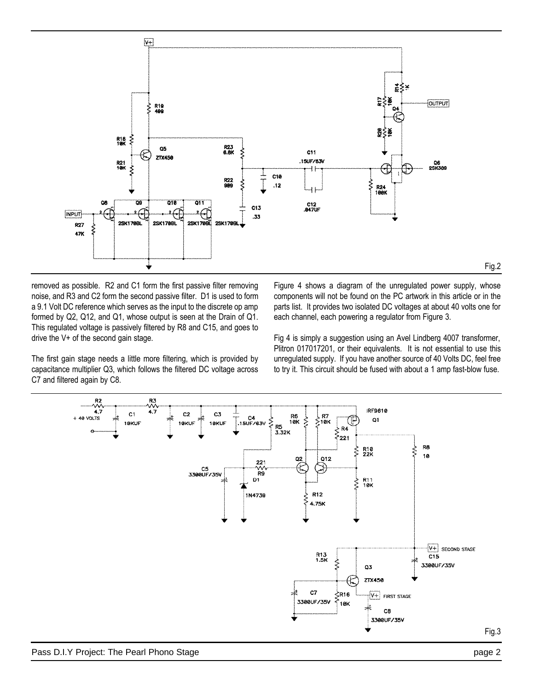

removed as possible. R2 and C1 form the first passive filter removing noise, and R3 and C2 form the second passive filter. D1 is used to form a 9.1 Volt DC reference which serves as the input to the discrete op amp formed by Q2, Q12, and Q1, whose output is seen at the Drain of Q1. This regulated voltage is passively filtered by R8 and C15, and goes to drive the V+ of the second gain stage.

The first gain stage needs a little more filtering, which is provided by capacitance multiplier Q3, which follows the filtered DC voltage across C7 and filtered again by C8.

Figure 4 shows a diagram of the unregulated power supply, whose components will not be found on the PC artwork in this article or in the parts list. It provides two isolated DC voltages at about 40 volts one for each channel, each powering a regulator from Figure 3.

Fig 4 is simply a suggestion using an Avel Lindberg 4007 transformer, Plitron 017017201, or their equivalents. It is not essential to use this unregulated supply. If you have another source of 40 Volts DC, feel free to try it. This circuit should be fused with about a 1 amp fast-blow fuse.



Fig.2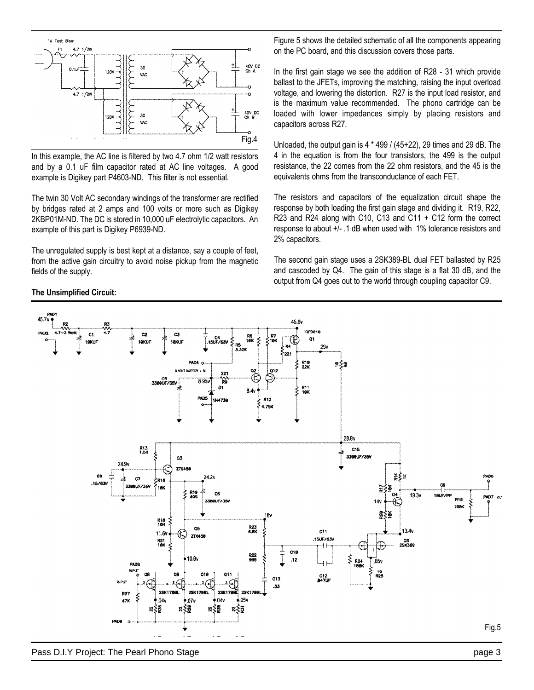

In this example, the AC line is filtered by two 4.7 ohm 1/2 watt resistors and by a 0.1 uF film capacitor rated at AC line voltages. A good example is Digikey part P4603-ND. This filter is not essential.

The twin 30 Volt AC secondary windings of the transformer are rectified by bridges rated at 2 amps and 100 volts or more such as Digikey 2KBP01M-ND. The DC is stored in 10,000 uF electrolytic capacitors. An example of this part is Digikey P6939-ND.

The unregulated supply is best kept at a distance, say a couple of feet, from the active gain circuitry to avoid noise pickup from the magnetic fields of the supply.

**The Unsimplified Circuit:**

Figure 5 shows the detailed schematic of all the components appearing on the PC board, and this discussion covers those parts.

In the first gain stage we see the addition of R28 - 31 which provide ballast to the JFETs, improving the matching, raising the input overload voltage, and lowering the distortion. R27 is the input load resistor, and is the maximum value recommended. The phono cartridge can be loaded with lower impedances simply by placing resistors and capacitors across R27.

Unloaded, the output gain is 4 \* 499 / (45+22), 29 times and 29 dB. The 4 in the equation is from the four transistors, the 499 is the output resistance, the 22 comes from the 22 ohm resistors, and the 45 is the equivalents ohms from the transconductance of each FET.

The resistors and capacitors of the equalization circuit shape the response by both loading the first gain stage and dividing it. R19, R22, R23 and R24 along with C10, C13 and C11 + C12 form the correct response to about +/- .1 dB when used with 1% tolerance resistors and 2% capacitors.

The second gain stage uses a 2SK389-BL dual FET ballasted by R25 and cascoded by Q4. The gain of this stage is a flat 30 dB, and the output from Q4 goes out to the world through coupling capacitor C9.

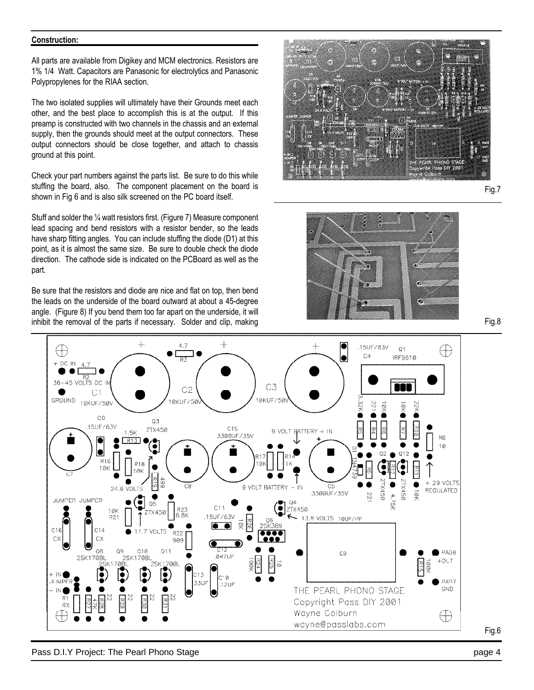#### **Construction:**

All parts are available from Digikey and MCM electronics. Resistors are 1% 1/4 Watt. Capacitors are Panasonic for electrolytics and Panasonic Polypropylenes for the RIAA section.

The two isolated supplies will ultimately have their Grounds meet each other, and the best place to accomplish this is at the output. If this preamp is constructed with two channels in the chassis and an external supply, then the grounds should meet at the output connectors. These output connectors should be close together, and attach to chassis ground at this point.

Check your part numbers against the parts list. Be sure to do this while stuffing the board, also. The component placement on the board is shown in Fig 6 and is also silk screened on the PC board itself.

Stuff and solder the ¼ watt resistors first. (Figure 7) Measure component lead spacing and bend resistors with a resistor bender, so the leads have sharp fitting angles. You can include stuffing the diode (D1) at this point, as it is almost the same size. Be sure to double check the diode direction. The cathode side is indicated on the PCBoard as well as the part.

Be sure that the resistors and diode are nice and flat on top, then bend the leads on the underside of the board outward at about a 45-degree angle. (Figure 8) If you bend them too far apart on the underside, it will inhibit the removal of the parts if necessary. Solder and clip, making

![](_page_3_Picture_6.jpeg)

Fig.7

![](_page_3_Picture_8.jpeg)

![](_page_3_Figure_9.jpeg)

![](_page_3_Figure_10.jpeg)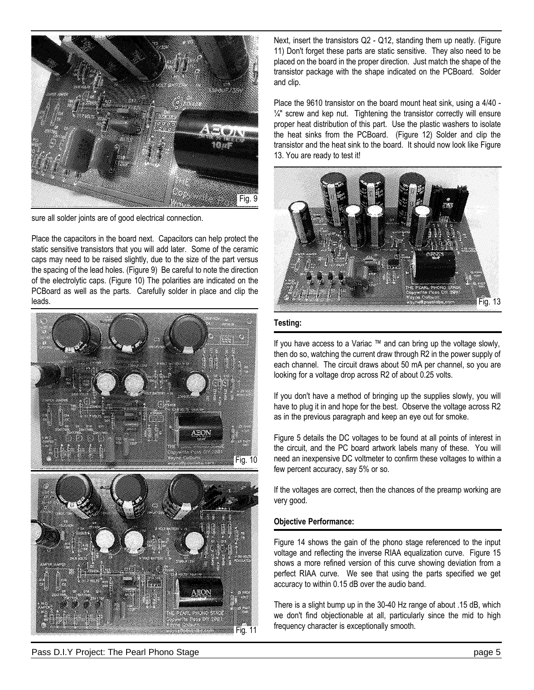![](_page_4_Picture_0.jpeg)

sure all solder joints are of good electrical connection.

Place the capacitors in the board next. Capacitors can help protect the static sensitive transistors that you will add later. Some of the ceramic caps may need to be raised slightly, due to the size of the part versus the spacing of the lead holes. (Figure 9) Be careful to note the direction of the electrolytic caps. (Figure 10) The polarities are indicated on the PCBoard as well as the parts. Carefully solder in place and clip the leads.

![](_page_4_Picture_3.jpeg)

![](_page_4_Picture_4.jpeg)

Next, insert the transistors Q2 - Q12, standing them up neatly. (Figure 11) Don't forget these parts are static sensitive. They also need to be placed on the board in the proper direction. Just match the shape of the transistor package with the shape indicated on the PCBoard. Solder and clip.

Place the 9610 transistor on the board mount heat sink, using a 4/40 -  $1/4$ " screw and kep nut. Tightening the transistor correctly will ensure proper heat distribution of this part. Use the plastic washers to isolate the heat sinks from the PCBoard. (Figure 12) Solder and clip the transistor and the heat sink to the board. It should now look like Figure 13. You are ready to test it!

![](_page_4_Picture_8.jpeg)

## **Testing:**

If you have access to a Variac ™ and can bring up the voltage slowly, then do so, watching the current draw through R2 in the power supply of each channel. The circuit draws about 50 mA per channel, so you are looking for a voltage drop across R2 of about 0.25 volts.

If you don't have a method of bringing up the supplies slowly, you will have to plug it in and hope for the best. Observe the voltage across R2 as in the previous paragraph and keep an eye out for smoke.

Figure 5 details the DC voltages to be found at all points of interest in the circuit, and the PC board artwork labels many of these. You will need an inexpensive DC voltmeter to confirm these voltages to within a few percent accuracy, say 5% or so.

If the voltages are correct, then the chances of the preamp working are very good.

#### **Objective Performance:**

Figure 14 shows the gain of the phono stage referenced to the input voltage and reflecting the inverse RIAA equalization curve. Figure 15 shows a more refined version of this curve showing deviation from a perfect RIAA curve. We see that using the parts specified we get accuracy to within 0.15 dB over the audio band.

There is a slight bump up in the 30-40 Hz range of about .15 dB, which we don't find objectionable at all, particularly since the mid to high frequency character is exceptionally smooth.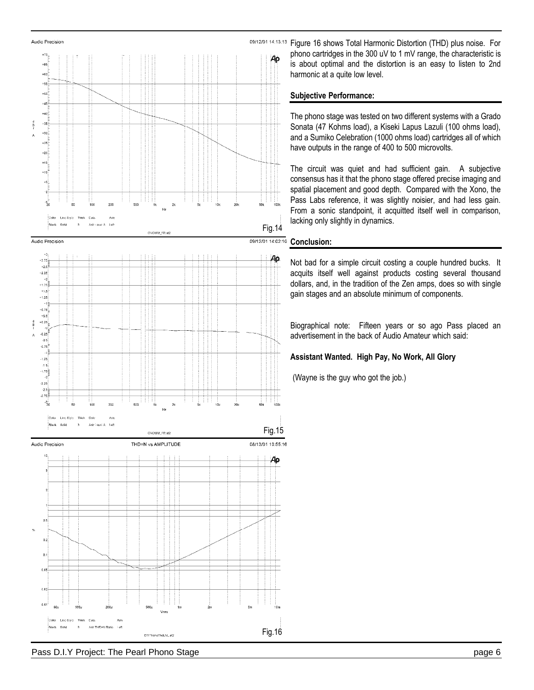Von

DIYPhonoThdLVL.at2

![](_page_5_Figure_1.jpeg)

Audio Precision  $+70$ 

 $+65$  $+60$  $.55$  $+50^{11}$  $.45$  $+40^{11}$  $(35)$  $\frac{d}{b}$ 

09/12/01 14:13:13 Figure 16 shows Total Harmonic Distortion (THD) plus noise. For phono cartridges in the 300 uV to 1 mV range, the characteristic is  $\rho_{\rm P}$ is about optimal and the distortion is an easy to listen to 2nd harmonic at a quite low level.

# **Subjective Performance:**

The phono stage was tested on two different systems with a Grado Sonata (47 Kohms load), a Kiseki Lapus Lazuli (100 ohms load), and a Sumiko Celebration (1000 ohms load) cartridges all of which have outputs in the range of 400 to 500 microvolts.

The circuit was quiet and had sufficient gain. A subjective consensus has it that the phono stage offered precise imaging and spatial placement and good depth. Compared with the Xono, the Pass Labs reference, it was slightly noisier, and had less gain. From a sonic standpoint, it acquitted itself well in comparison, lacking only slightly in dynamics.

## 09/12/01 14:02:10 **Conclusion:**

Fig.14

Aρ

sól

Fig.15

Aр

08/13/01 10:55:16

Fig.16

Not bad for a simple circuit costing a couple hundred bucks. It acquits itself well against products costing several thousand dollars, and, in the tradition of the Zen amps, does so with single gain stages and an absolute minimum of components.

Biographical note: Fifteen years or so ago Pass placed an advertisement in the back of Audio Amateur which said:

# **Assistant Wanted. High Pay, No Work, All Glory**

(Wayne is the guy who got the job.)

Ani: THE+N Ratio Feft

 $0.01$ se.

> Sofy  $\ddot{a}$